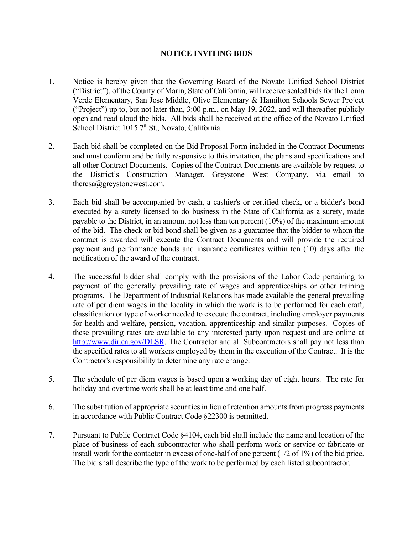## **NOTICE INVITING BIDS**

- 1. Notice is hereby given that the Governing Board of the Novato Unified School District ("District"), of the County of Marin, State of California, will receive sealed bids for the Loma Verde Elementary, San Jose Middle, Olive Elementary & Hamilton Schools Sewer Project ("Project") up to, but not later than, 3:00 p.m., on May 19, 2022, and will thereafter publicly open and read aloud the bids. All bids shall be received at the office of the Novato Unified School District 1015 7<sup>th</sup> St., Novato, California.
- 2. Each bid shall be completed on the Bid Proposal Form included in the Contract Documents and must conform and be fully responsive to this invitation, the plans and specifications and all other Contract Documents. Copies of the Contract Documents are available by request to the District's Construction Manager, Greystone West Company, via email to theresa@greystonewest.com.
- 3. Each bid shall be accompanied by cash, a cashier's or certified check, or a bidder's bond executed by a surety licensed to do business in the State of California as a surety, made payable to the District, in an amount not less than ten percent (10%) of the maximum amount of the bid. The check or bid bond shall be given as a guarantee that the bidder to whom the contract is awarded will execute the Contract Documents and will provide the required payment and performance bonds and insurance certificates within ten (10) days after the notification of the award of the contract.
- 4. The successful bidder shall comply with the provisions of the Labor Code pertaining to payment of the generally prevailing rate of wages and apprenticeships or other training programs. The Department of Industrial Relations has made available the general prevailing rate of per diem wages in the locality in which the work is to be performed for each craft, classification or type of worker needed to execute the contract, including employer payments for health and welfare, pension, vacation, apprenticeship and similar purposes. Copies of these prevailing rates are available to any interested party upon request and are online at [http://www.dir.ca.gov/DLSR.](http://www.dir.ca.gov/DLSR) The Contractor and all Subcontractors shall pay not less than the specified rates to all workers employed by them in the execution of the Contract. It is the Contractor's responsibility to determine any rate change.
- 5. The schedule of per diem wages is based upon a working day of eight hours. The rate for holiday and overtime work shall be at least time and one half.
- 6. The substitution of appropriate securities in lieu of retention amounts from progress payments in accordance with Public Contract Code §22300 is permitted.
- 7. Pursuant to Public Contract Code §4104, each bid shall include the name and location of the place of business of each subcontractor who shall perform work or service or fabricate or install work for the contactor in excess of one-half of one percent (1/2 of 1%) of the bid price. The bid shall describe the type of the work to be performed by each listed subcontractor.